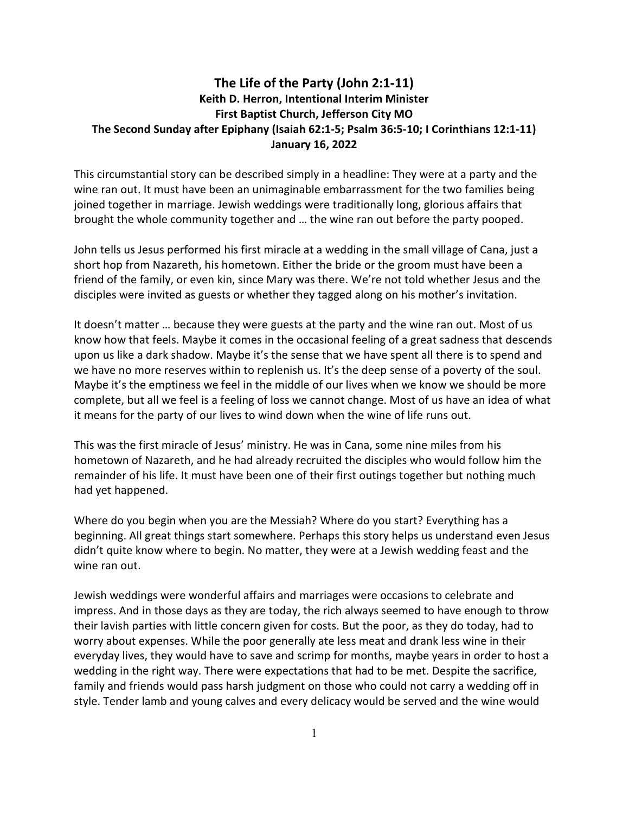## The Life of the Party (John 2:1-11) Keith D. Herron, Intentional Interim Minister First Baptist Church, Jefferson City MO The Second Sunday after Epiphany (Isaiah 62:1-5; Psalm 36:5-10; I Corinthians 12:1-11) January 16, 2022

This circumstantial story can be described simply in a headline: They were at a party and the wine ran out. It must have been an unimaginable embarrassment for the two families being joined together in marriage. Jewish weddings were traditionally long, glorious affairs that brought the whole community together and … the wine ran out before the party pooped.

John tells us Jesus performed his first miracle at a wedding in the small village of Cana, just a short hop from Nazareth, his hometown. Either the bride or the groom must have been a friend of the family, or even kin, since Mary was there. We're not told whether Jesus and the disciples were invited as guests or whether they tagged along on his mother's invitation.

It doesn't matter … because they were guests at the party and the wine ran out. Most of us know how that feels. Maybe it comes in the occasional feeling of a great sadness that descends upon us like a dark shadow. Maybe it's the sense that we have spent all there is to spend and we have no more reserves within to replenish us. It's the deep sense of a poverty of the soul. Maybe it's the emptiness we feel in the middle of our lives when we know we should be more complete, but all we feel is a feeling of loss we cannot change. Most of us have an idea of what it means for the party of our lives to wind down when the wine of life runs out.

This was the first miracle of Jesus' ministry. He was in Cana, some nine miles from his hometown of Nazareth, and he had already recruited the disciples who would follow him the remainder of his life. It must have been one of their first outings together but nothing much had yet happened.

Where do you begin when you are the Messiah? Where do you start? Everything has a beginning. All great things start somewhere. Perhaps this story helps us understand even Jesus didn't quite know where to begin. No matter, they were at a Jewish wedding feast and the wine ran out.

Jewish weddings were wonderful affairs and marriages were occasions to celebrate and impress. And in those days as they are today, the rich always seemed to have enough to throw their lavish parties with little concern given for costs. But the poor, as they do today, had to worry about expenses. While the poor generally ate less meat and drank less wine in their everyday lives, they would have to save and scrimp for months, maybe years in order to host a wedding in the right way. There were expectations that had to be met. Despite the sacrifice, family and friends would pass harsh judgment on those who could not carry a wedding off in style. Tender lamb and young calves and every delicacy would be served and the wine would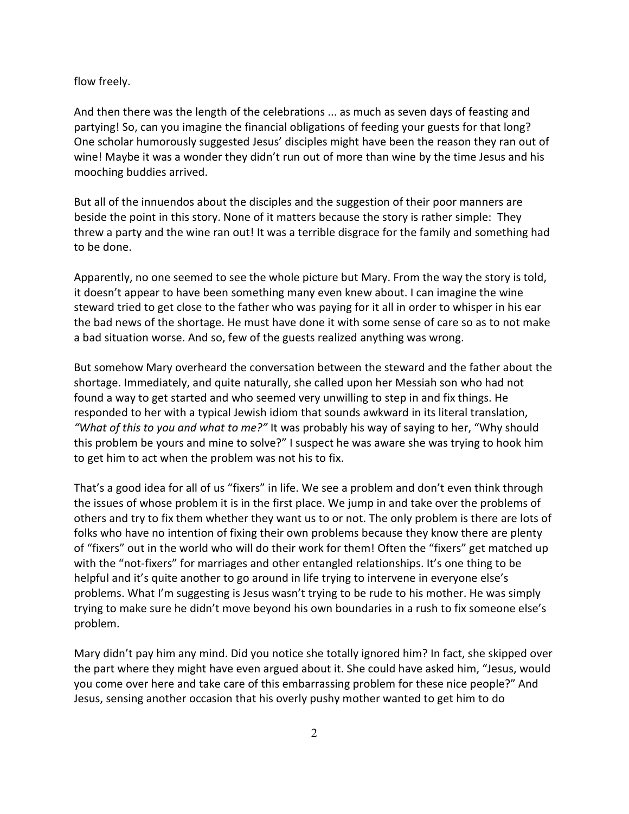## flow freely.

And then there was the length of the celebrations ... as much as seven days of feasting and partying! So, can you imagine the financial obligations of feeding your guests for that long? One scholar humorously suggested Jesus' disciples might have been the reason they ran out of wine! Maybe it was a wonder they didn't run out of more than wine by the time Jesus and his mooching buddies arrived.

But all of the innuendos about the disciples and the suggestion of their poor manners are beside the point in this story. None of it matters because the story is rather simple: They threw a party and the wine ran out! It was a terrible disgrace for the family and something had to be done.

Apparently, no one seemed to see the whole picture but Mary. From the way the story is told, it doesn't appear to have been something many even knew about. I can imagine the wine steward tried to get close to the father who was paying for it all in order to whisper in his ear the bad news of the shortage. He must have done it with some sense of care so as to not make a bad situation worse. And so, few of the guests realized anything was wrong.

But somehow Mary overheard the conversation between the steward and the father about the shortage. Immediately, and quite naturally, she called upon her Messiah son who had not found a way to get started and who seemed very unwilling to step in and fix things. He responded to her with a typical Jewish idiom that sounds awkward in its literal translation, "What of this to you and what to me?" It was probably his way of saying to her, "Why should this problem be yours and mine to solve?" I suspect he was aware she was trying to hook him to get him to act when the problem was not his to fix.

That's a good idea for all of us "fixers" in life. We see a problem and don't even think through the issues of whose problem it is in the first place. We jump in and take over the problems of others and try to fix them whether they want us to or not. The only problem is there are lots of folks who have no intention of fixing their own problems because they know there are plenty of "fixers" out in the world who will do their work for them! Often the "fixers" get matched up with the "not-fixers" for marriages and other entangled relationships. It's one thing to be helpful and it's quite another to go around in life trying to intervene in everyone else's problems. What I'm suggesting is Jesus wasn't trying to be rude to his mother. He was simply trying to make sure he didn't move beyond his own boundaries in a rush to fix someone else's problem.

Mary didn't pay him any mind. Did you notice she totally ignored him? In fact, she skipped over the part where they might have even argued about it. She could have asked him, "Jesus, would you come over here and take care of this embarrassing problem for these nice people?" And Jesus, sensing another occasion that his overly pushy mother wanted to get him to do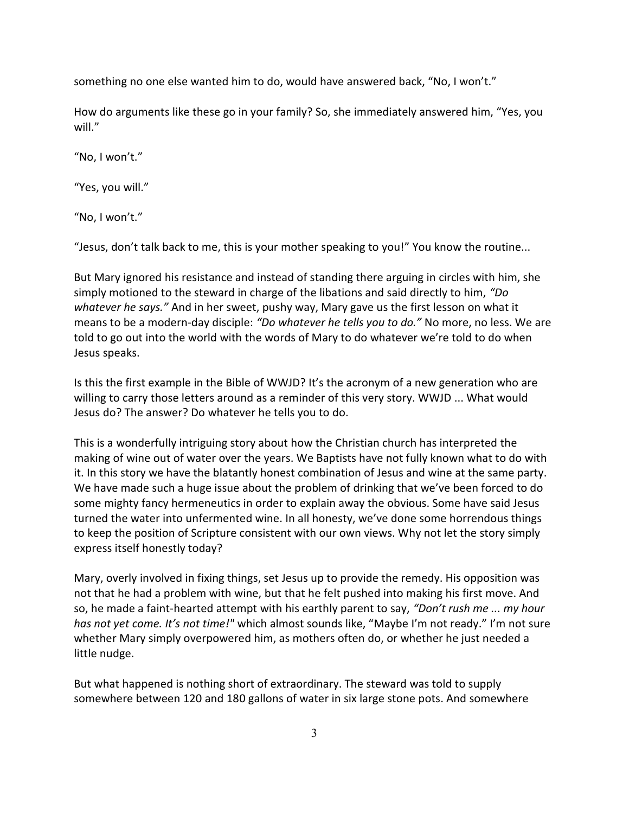something no one else wanted him to do, would have answered back, "No, I won't."

How do arguments like these go in your family? So, she immediately answered him, "Yes, you will."

"No, I won't."

"Yes, you will."

"No, I won't."

"Jesus, don't talk back to me, this is your mother speaking to you!" You know the routine...

But Mary ignored his resistance and instead of standing there arguing in circles with him, she simply motioned to the steward in charge of the libations and said directly to him, "Do whatever he says." And in her sweet, pushy way, Mary gave us the first lesson on what it means to be a modern-day disciple: "Do whatever he tells you to do." No more, no less. We are told to go out into the world with the words of Mary to do whatever we're told to do when Jesus speaks.

Is this the first example in the Bible of WWJD? It's the acronym of a new generation who are willing to carry those letters around as a reminder of this very story. WWJD ... What would Jesus do? The answer? Do whatever he tells you to do.

This is a wonderfully intriguing story about how the Christian church has interpreted the making of wine out of water over the years. We Baptists have not fully known what to do with it. In this story we have the blatantly honest combination of Jesus and wine at the same party. We have made such a huge issue about the problem of drinking that we've been forced to do some mighty fancy hermeneutics in order to explain away the obvious. Some have said Jesus turned the water into unfermented wine. In all honesty, we've done some horrendous things to keep the position of Scripture consistent with our own views. Why not let the story simply express itself honestly today?

Mary, overly involved in fixing things, set Jesus up to provide the remedy. His opposition was not that he had a problem with wine, but that he felt pushed into making his first move. And so, he made a faint-hearted attempt with his earthly parent to say, "Don't rush me ... my hour has not yet come. It's not time!" which almost sounds like, "Maybe I'm not ready." I'm not sure whether Mary simply overpowered him, as mothers often do, or whether he just needed a little nudge.

But what happened is nothing short of extraordinary. The steward was told to supply somewhere between 120 and 180 gallons of water in six large stone pots. And somewhere